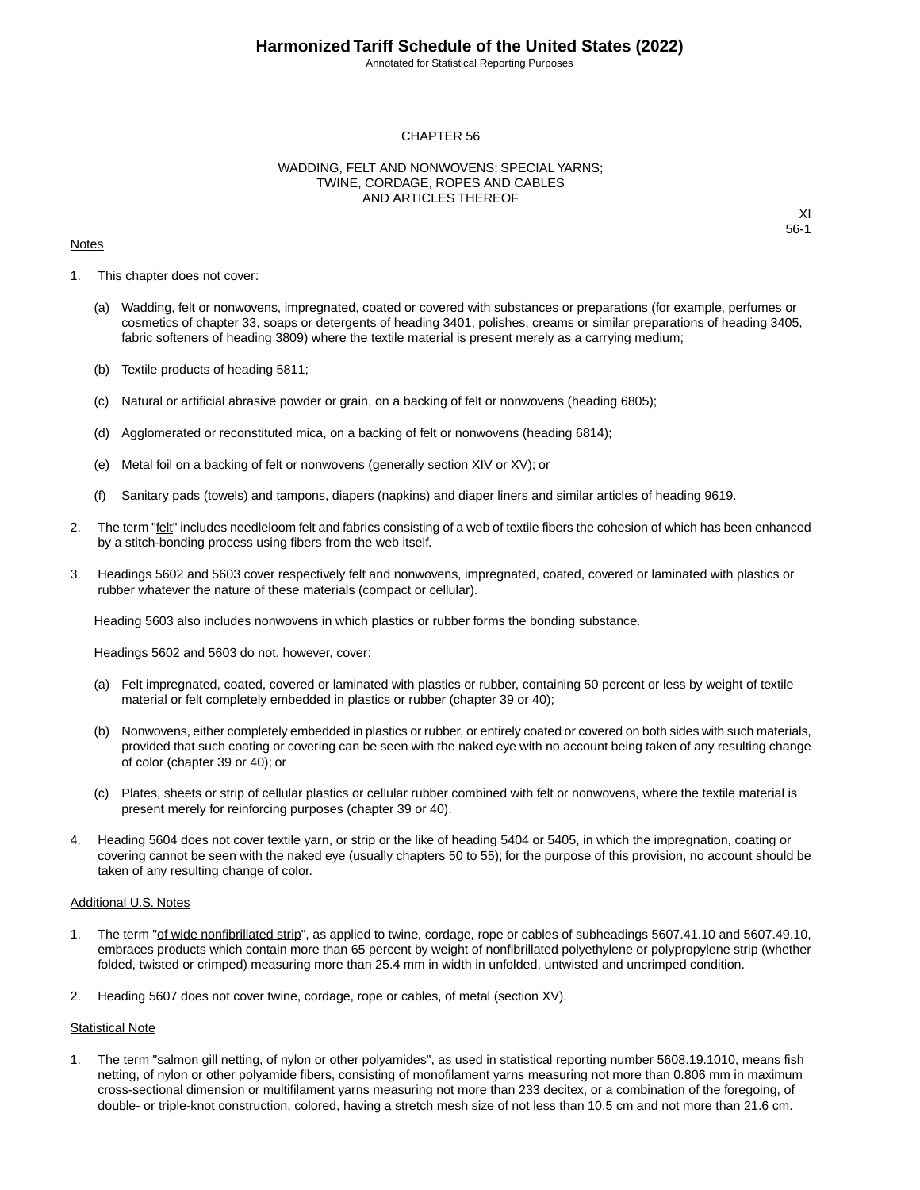Annotated for Statistical Reporting Purposes

#### CHAPTER 56

#### WADDING, FELT AND NONWOVENS; SPECIAL YARNS; TWINE, CORDAGE, ROPES AND CABLES AND ARTICLES THEREOF

#### **Notes**

XI 56-1

- 1. This chapter does not cover:
	- (a) Wadding, felt or nonwovens, impregnated, coated or covered with substances or preparations (for example, perfumes or cosmetics of chapter 33, soaps or detergents of heading 3401, polishes, creams or similar preparations of heading 3405, fabric softeners of heading 3809) where the textile material is present merely as a carrying medium;
	- (b) Textile products of heading 5811;
	- (c) Natural or artificial abrasive powder or grain, on a backing of felt or nonwovens (heading 6805);
	- (d) Agglomerated or reconstituted mica, on a backing of felt or nonwovens (heading 6814);
	- (e) Metal foil on a backing of felt or nonwovens (generally section XIV or XV); or
	- (f) Sanitary pads (towels) and tampons, diapers (napkins) and diaper liners and similar articles of heading 9619.
- 2. The term "felt" includes needleloom felt and fabrics consisting of a web of textile fibers the cohesion of which has been enhanced by a stitch-bonding process using fibers from the web itself.
- 3. Headings 5602 and 5603 cover respectively felt and nonwovens, impregnated, coated, covered or laminated with plastics or rubber whatever the nature of these materials (compact or cellular).

Heading 5603 also includes nonwovens in which plastics or rubber forms the bonding substance.

Headings 5602 and 5603 do not, however, cover:

- (a) Felt impregnated, coated, covered or laminated with plastics or rubber, containing 50 percent or less by weight of textile material or felt completely embedded in plastics or rubber (chapter 39 or 40);
- (b) Nonwovens, either completely embedded in plastics or rubber, or entirely coated or covered on both sides with such materials, provided that such coating or covering can be seen with the naked eye with no account being taken of any resulting change of color (chapter 39 or 40); or
- (c) Plates, sheets or strip of cellular plastics or cellular rubber combined with felt or nonwovens, where the textile material is present merely for reinforcing purposes (chapter 39 or 40).
- 4. Heading 5604 does not cover textile yarn, or strip or the like of heading 5404 or 5405, in which the impregnation, coating or covering cannot be seen with the naked eye (usually chapters 50 to 55); for the purpose of this provision, no account should be taken of any resulting change of color.

#### Additional U.S. Notes

- 1. The term "of wide nonfibrillated strip", as applied to twine, cordage, rope or cables of subheadings 5607.41.10 and 5607.49.10, embraces products which contain more than 65 percent by weight of nonfibrillated polyethylene or polypropylene strip (whether folded, twisted or crimped) measuring more than 25.4 mm in width in unfolded, untwisted and uncrimped condition.
- 2. Heading 5607 does not cover twine, cordage, rope or cables, of metal (section XV).

#### Statistical Note

1. The term "salmon gill netting, of nylon or other polyamides", as used in statistical reporting number 5608.19.1010, means fish netting, of nylon or other polyamide fibers, consisting of monofilament yarns measuring not more than 0.806 mm in maximum cross-sectional dimension or multifilament yarns measuring not more than 233 decitex, or a combination of the foregoing, of double- or triple-knot construction, colored, having a stretch mesh size of not less than 10.5 cm and not more than 21.6 cm.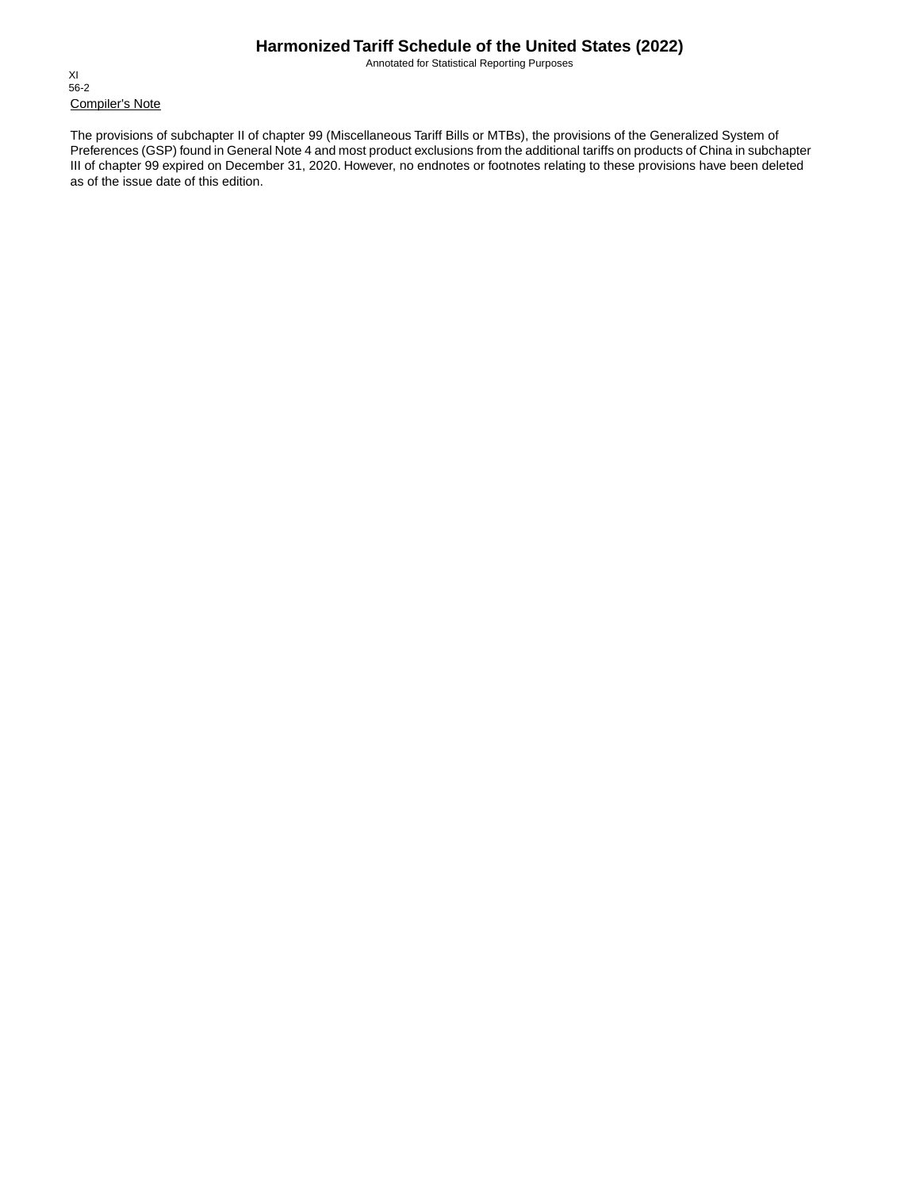Annotated for Statistical Reporting Purposes

Compiler's Note XI 56-2

The provisions of subchapter II of chapter 99 (Miscellaneous Tariff Bills or MTBs), the provisions of the Generalized System of Preferences (GSP) found in General Note 4 and most product exclusions from the additional tariffs on products of China in subchapter III of chapter 99 expired on December 31, 2020. However, no endnotes or footnotes relating to these provisions have been deleted as of the issue date of this edition.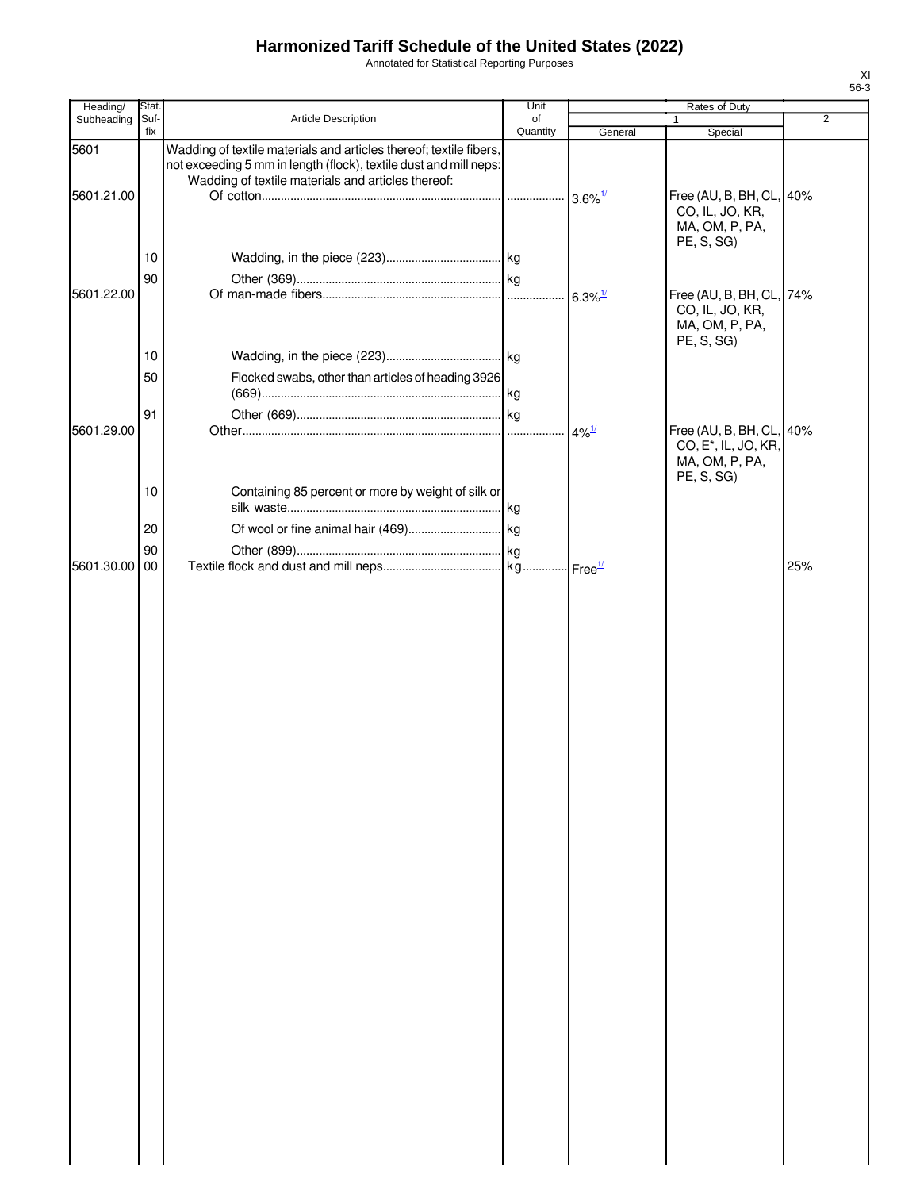Annotated for Statistical Reporting Purposes

| Heading/      | Stat.       |                                                                                                                                                                                               | Unit           | Rates of Duty         |                                                                                              |     |
|---------------|-------------|-----------------------------------------------------------------------------------------------------------------------------------------------------------------------------------------------|----------------|-----------------------|----------------------------------------------------------------------------------------------|-----|
| Subheading    | Suf-<br>fix | <b>Article Description</b>                                                                                                                                                                    | of<br>Quantity | General               | $\mathbf{1}$<br>Special                                                                      | 2   |
| 5601          |             | Wadding of textile materials and articles thereof; textile fibers,<br>not exceeding 5 mm in length (flock), textile dust and mill neps:<br>Wadding of textile materials and articles thereof: |                |                       |                                                                                              |     |
| 5601.21.00    |             |                                                                                                                                                                                               |                |                       | Free (AU, B, BH, CL, 40%<br>CO, IL, JO, KR,<br>MA, OM, P, PA,<br>PE, S, SG)                  |     |
|               | 10          |                                                                                                                                                                                               |                |                       |                                                                                              |     |
| 5601.22.00    | 90          |                                                                                                                                                                                               |                | $6.3\%$ <sup>1/</sup> | Free (AU, B, BH, CL, 74%<br>CO, IL, JO, KR,<br>MA, OM, P, PA,                                |     |
|               | 10          |                                                                                                                                                                                               |                |                       | PE, S, SG)                                                                                   |     |
|               | 50          | Flocked swabs, other than articles of heading 3926                                                                                                                                            |                |                       |                                                                                              |     |
|               | 91          |                                                                                                                                                                                               |                |                       |                                                                                              |     |
| 5601.29.00    |             |                                                                                                                                                                                               |                | $4\%$ <sup>1/</sup>   | Free (AU, B, BH, CL, 40%<br>CO, E <sup>*</sup> , IL, JO, KR,<br>MA, OM, P, PA,<br>PE, S, SG) |     |
|               | 10          | Containing 85 percent or more by weight of silk or                                                                                                                                            |                |                       |                                                                                              |     |
|               | 20<br>90    |                                                                                                                                                                                               |                |                       |                                                                                              |     |
| 5601.30.00 00 |             |                                                                                                                                                                                               |                |                       |                                                                                              | 25% |
|               |             |                                                                                                                                                                                               |                |                       |                                                                                              |     |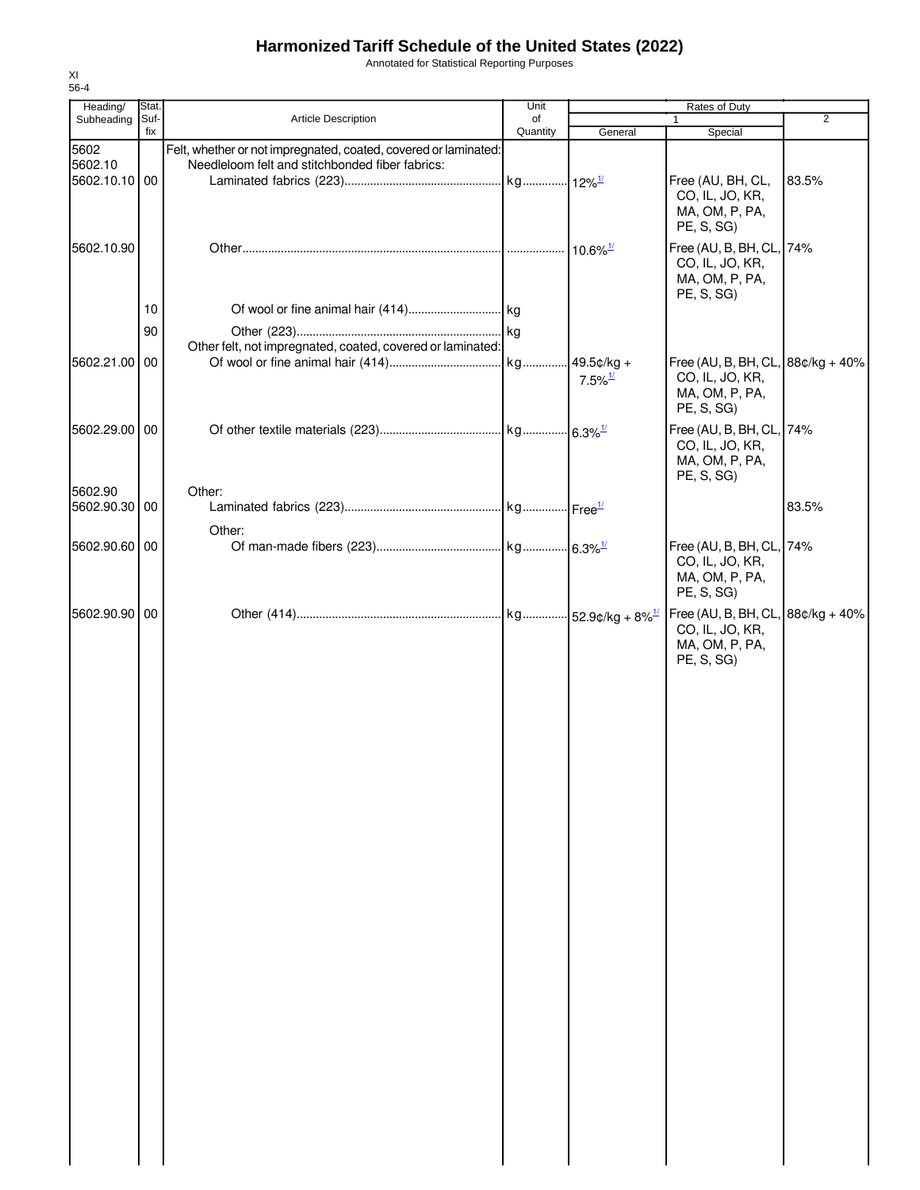Annotated for Statistical Reporting Purposes

| Heading/                 | Stat.       |                                                                                                                    | Unit           |                       | Rates of Duty                                                                          |                |
|--------------------------|-------------|--------------------------------------------------------------------------------------------------------------------|----------------|-----------------------|----------------------------------------------------------------------------------------|----------------|
| Subheading               | Suf-<br>fix | <b>Article Description</b>                                                                                         | of<br>Quantity | General               | $\mathbf{1}$<br>Special                                                                | $\overline{2}$ |
| 5602<br>5602.10          |             | Felt, whether or not impregnated, coated, covered or laminated:<br>Needleloom felt and stitchbonded fiber fabrics: |                |                       |                                                                                        |                |
| 5602.10.10 00            |             |                                                                                                                    |                |                       | Free (AU, BH, CL,<br>CO, IL, JO, KR,<br>MA, OM, P, PA,<br>PE, S, SG)                   | 83.5%          |
| 5602.10.90               |             |                                                                                                                    |                |                       | Free (AU, B, BH, CL, 74%<br>CO, IL, JO, KR,<br>MA, OM, P, PA,<br>PE, S, SG)            |                |
|                          | 10          |                                                                                                                    |                |                       |                                                                                        |                |
|                          | 90          |                                                                                                                    |                |                       |                                                                                        |                |
| 5602.21.00 00            |             | Other felt, not impregnated, coated, covered or laminated:                                                         |                |                       | Free (AU, B, BH, CL, $88¢/kg + 40%$                                                    |                |
|                          |             |                                                                                                                    |                | $7.5\%$ <sup>1/</sup> | CO, IL, JO, KR,<br>MA, OM, P, PA,<br>PE, S, SG)                                        |                |
| 5602.29.00 00<br>5602.90 |             | Other:                                                                                                             |                |                       | Free (AU, B, BH, CL, 74%<br>CO, IL, JO, KR,<br>MA, OM, P, PA,<br>PE, S, SG)            |                |
| 5602.90.30 00            |             |                                                                                                                    |                |                       |                                                                                        | 83.5%          |
| 5602.90.60 00            |             | Other:                                                                                                             |                |                       | Free (AU, B, BH, CL, 74%<br>CO, IL, JO, KR,<br>MA, OM, P, PA,<br>PE, S, SG)            |                |
| 5602.90.90 00            |             |                                                                                                                    |                |                       | Free (AU, B, BH, CL, $88¢/kg + 40%$<br>CO, IL, JO, KR,<br>MA, OM, P, PA,<br>PE, S, SG) |                |
|                          |             |                                                                                                                    |                |                       |                                                                                        |                |
|                          |             |                                                                                                                    |                |                       |                                                                                        |                |
|                          |             |                                                                                                                    |                |                       |                                                                                        |                |
|                          |             |                                                                                                                    |                |                       |                                                                                        |                |
|                          |             |                                                                                                                    |                |                       |                                                                                        |                |
|                          |             |                                                                                                                    |                |                       |                                                                                        |                |
|                          |             |                                                                                                                    |                |                       |                                                                                        |                |
|                          |             |                                                                                                                    |                |                       |                                                                                        |                |
|                          |             |                                                                                                                    |                |                       |                                                                                        |                |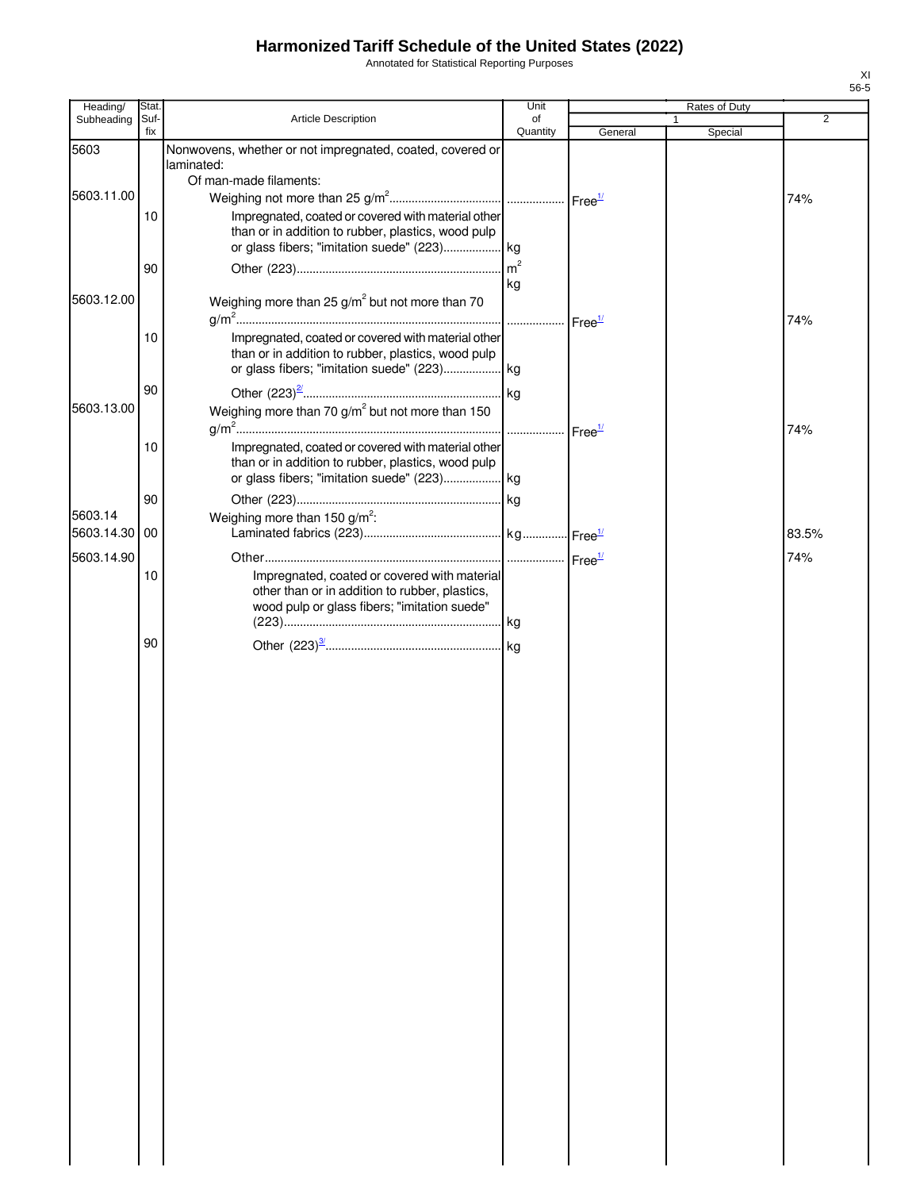Annotated for Statistical Reporting Purposes

| Heading/                 | Stat.       |                                                                                                                                                                                   | Unit                  |         | Rates of Duty |                |
|--------------------------|-------------|-----------------------------------------------------------------------------------------------------------------------------------------------------------------------------------|-----------------------|---------|---------------|----------------|
| Subheading               | Suf-<br>fix | Article Description                                                                                                                                                               | of<br>Quantity        | General | Special       | $\overline{2}$ |
| 5603                     |             | Nonwovens, whether or not impregnated, coated, covered or<br>laminated:                                                                                                           |                       |         |               |                |
| 5603.11.00               | 10          | Of man-made filaments:<br>Impregnated, coated or covered with material other<br>than or in addition to rubber, plastics, wood pulp<br>or glass fibers; "imitation suede" (223) kg |                       |         |               | 74%            |
| 5603.12.00               | 90          | Weighing more than 25 $g/m^2$ but not more than 70                                                                                                                                | $\mathsf{Im}^2$<br>kg |         |               |                |
|                          | 10          | Impregnated, coated or covered with material other<br>than or in addition to rubber, plastics, wood pulp                                                                          | Free <sup>1/</sup>    |         |               | 74%            |
| 5603.13.00               | 90          | Weighing more than 70 g/m <sup>2</sup> but not more than 150                                                                                                                      |                       |         |               | 74%            |
|                          | 10          | Impregnated, coated or covered with material other<br>than or in addition to rubber, plastics, wood pulp<br>or glass fibers; "imitation suede" (223) kg                           |                       |         |               |                |
| 5603.14<br>5603.14.30 00 | 90          | Weighing more than 150 $g/m^2$ :                                                                                                                                                  |                       |         |               | 83.5%          |
| 5603.14.90               | 10          | Impregnated, coated or covered with material<br>other than or in addition to rubber, plastics,<br>wood pulp or glass fibers; "imitation suede"                                    |                       |         |               | 74%            |
|                          | 90          |                                                                                                                                                                                   |                       |         |               |                |
|                          |             |                                                                                                                                                                                   |                       |         |               |                |
|                          |             |                                                                                                                                                                                   |                       |         |               |                |
|                          |             |                                                                                                                                                                                   |                       |         |               |                |
|                          |             |                                                                                                                                                                                   |                       |         |               |                |
|                          |             |                                                                                                                                                                                   |                       |         |               |                |
|                          |             |                                                                                                                                                                                   |                       |         |               |                |
|                          |             |                                                                                                                                                                                   |                       |         |               |                |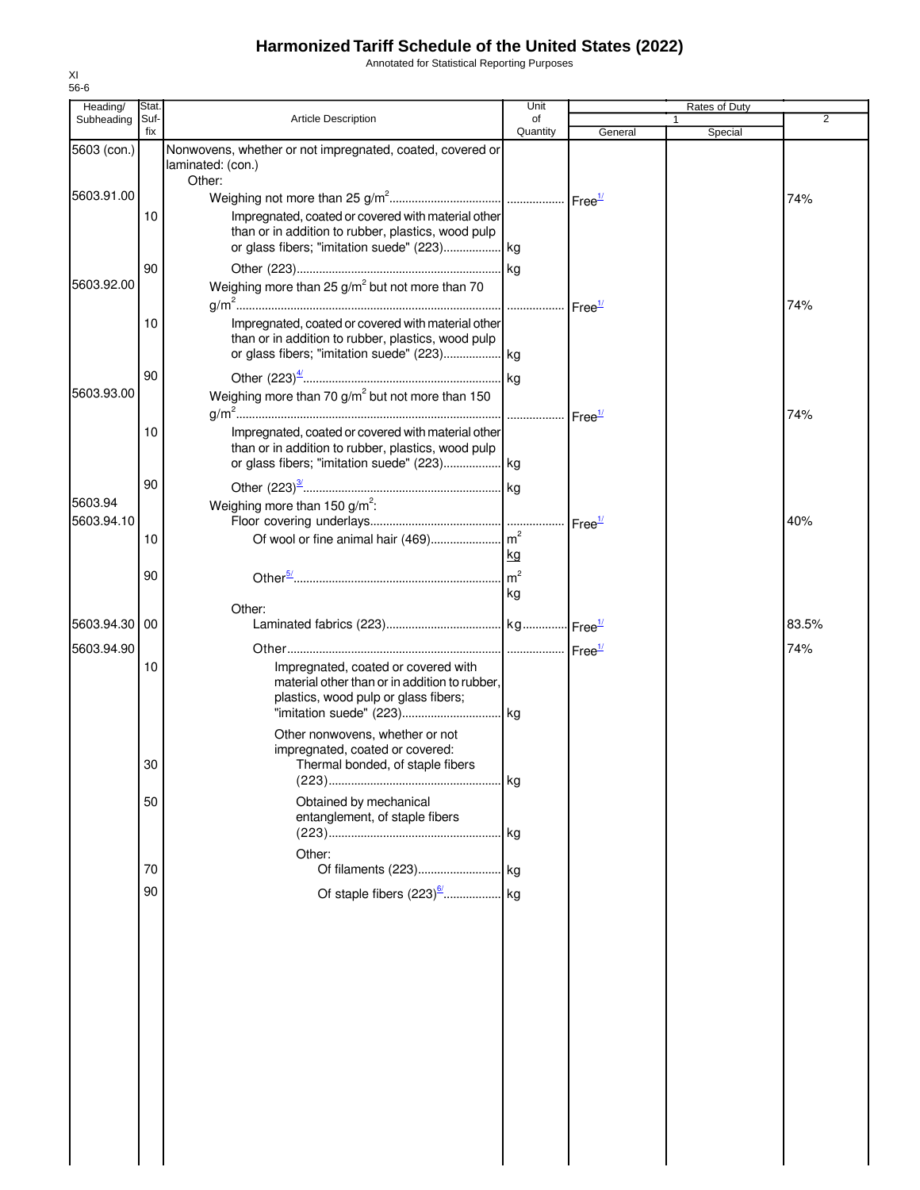Annotated for Statistical Reporting Purposes

| Heading/    | Stat.       |                                                                                                                                                                 | Unit                 |                    | Rates of Duty |                |
|-------------|-------------|-----------------------------------------------------------------------------------------------------------------------------------------------------------------|----------------------|--------------------|---------------|----------------|
| Subheading  | Suf-<br>fix | <b>Article Description</b>                                                                                                                                      | of<br>Quantity       | General            | Special       | $\overline{2}$ |
| 5603 (con.) |             | Nonwovens, whether or not impregnated, coated, covered or<br>laminated: (con.)<br>Other:                                                                        |                      |                    |               |                |
| 5603.91.00  |             |                                                                                                                                                                 |                      |                    |               | 74%            |
|             | 10          | Impregnated, coated or covered with material other<br>than or in addition to rubber, plastics, wood pulp                                                        |                      |                    |               |                |
| 5603.92.00  | 90          | Weighing more than 25 $g/m^2$ but not more than 70                                                                                                              |                      |                    |               | 74%            |
|             | 10          | Impregnated, coated or covered with material other<br>than or in addition to rubber, plastics, wood pulp                                                        |                      |                    |               |                |
| 5603.93.00  | 90          | Weighing more than 70 $g/m^2$ but not more than 150                                                                                                             |                      |                    |               | 74%            |
|             | 10          | Impregnated, coated or covered with material other<br>than or in addition to rubber, plastics, wood pulp<br>or glass fibers; "imitation suede" (223) kg         |                      |                    |               |                |
| 5603.94     | 90          | Weighing more than 150 g/m <sup>2</sup> :                                                                                                                       |                      |                    |               |                |
| 5603.94.10  | 10          |                                                                                                                                                                 | kg                   | Free <sup>1/</sup> |               | 40%            |
|             | 90          |                                                                                                                                                                 | m <sup>2</sup><br>kg |                    |               |                |
| 5603.94.30  | 00          | Other:                                                                                                                                                          |                      |                    |               | 83.5%          |
| 5603.94.90  | 10          | Impregnated, coated or covered with<br>material other than or in addition to rubber,<br>plastics, wood pulp or glass fibers;<br>Other nonwovens, whether or not |                      |                    |               | 74%            |
|             | 30          | impregnated, coated or covered:<br>Thermal bonded, of staple fibers                                                                                             |                      |                    |               |                |
|             | 50          | Obtained by mechanical<br>entanglement, of staple fibers                                                                                                        |                      |                    |               |                |
|             | 70          | Other:                                                                                                                                                          |                      |                    |               |                |
|             | 90          |                                                                                                                                                                 |                      |                    |               |                |
|             |             |                                                                                                                                                                 |                      |                    |               |                |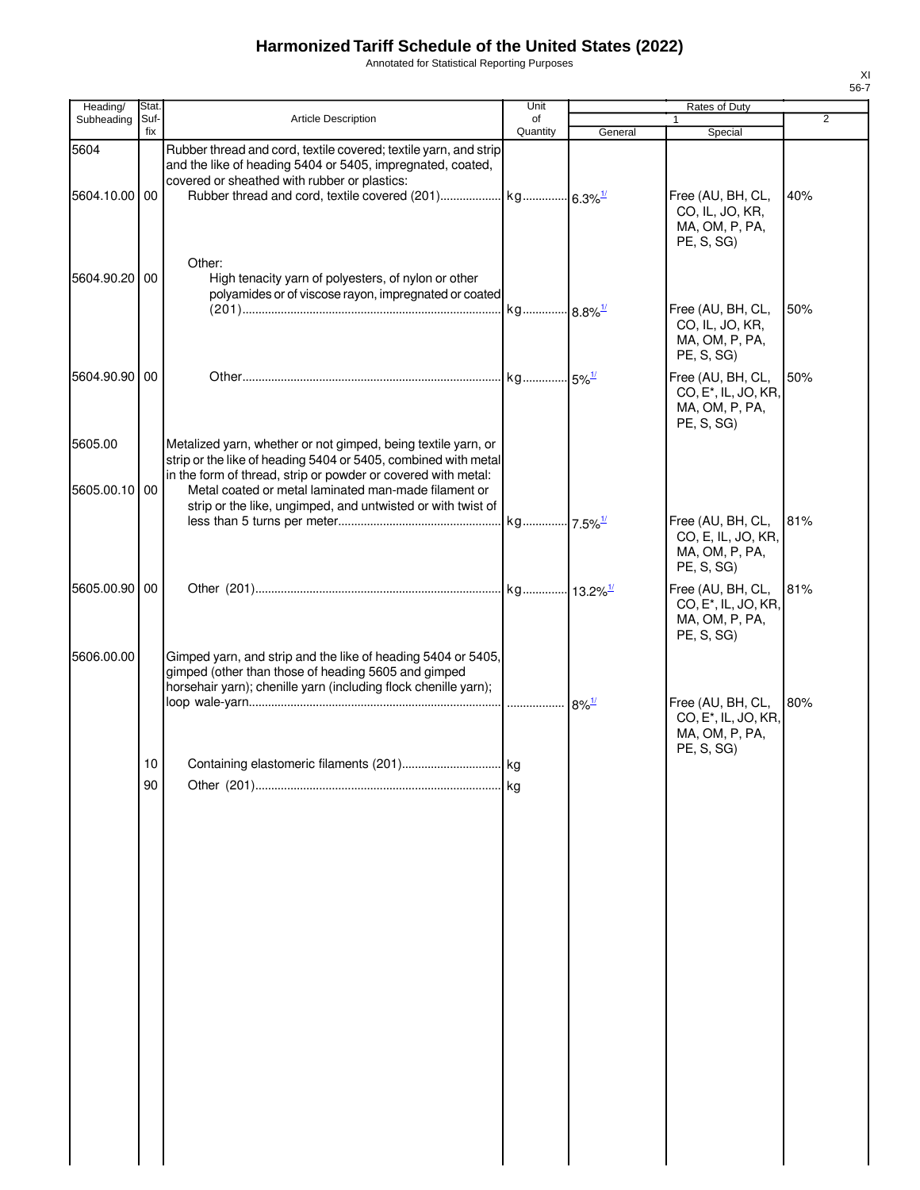Annotated for Statistical Reporting Purposes

| Heading/                 | Stat.           |                                                                                                                                                                                                                                                                                                                         | Unit           |                      | Rates of Duty                                                                         |                |
|--------------------------|-----------------|-------------------------------------------------------------------------------------------------------------------------------------------------------------------------------------------------------------------------------------------------------------------------------------------------------------------------|----------------|----------------------|---------------------------------------------------------------------------------------|----------------|
| Subheading               | Suf-<br>fix     | <b>Article Description</b>                                                                                                                                                                                                                                                                                              | οf<br>Quantity | General              | 1<br>Special                                                                          | $\overline{2}$ |
| 5604                     |                 | Rubber thread and cord, textile covered; textile yarn, and strip<br>and the like of heading 5404 or 5405, impregnated, coated,<br>covered or sheathed with rubber or plastics:                                                                                                                                          |                |                      |                                                                                       |                |
| 5604.10.00 00            |                 |                                                                                                                                                                                                                                                                                                                         |                |                      | Free (AU, BH, CL,<br>CO, IL, JO, KR,<br>MA, OM, P, PA,<br>PE, S, SG)                  | 40%            |
| 5604.90.20 00            |                 | Other:<br>High tenacity yarn of polyesters, of nylon or other<br>polyamides or of viscose rayon, impregnated or coated                                                                                                                                                                                                  |                |                      | Free (AU, BH, CL,                                                                     | 50%            |
|                          |                 |                                                                                                                                                                                                                                                                                                                         |                |                      | CO, IL, JO, KR,<br>MA, OM, P, PA,<br>PE, S, SG)                                       |                |
| 5604.90.90 00            |                 |                                                                                                                                                                                                                                                                                                                         |                |                      | Free (AU, BH, CL,<br>CO, E <sup>*</sup> , IL, JO, KR,<br>MA, OM, P, PA,<br>PE, S, SG) | 50%            |
| 5605.00<br>5605.00.10 00 |                 | Metalized yarn, whether or not gimped, being textile yarn, or<br>strip or the like of heading 5404 or 5405, combined with metal<br>in the form of thread, strip or powder or covered with metal:<br>Metal coated or metal laminated man-made filament or<br>strip or the like, ungimped, and untwisted or with twist of |                |                      |                                                                                       |                |
|                          |                 |                                                                                                                                                                                                                                                                                                                         |                |                      | Free (AU, BH, CL,<br>CO, E, IL, JO, KR,<br>MA, OM, P, PA,<br>PE, S, SG)               | 81%            |
| 5605.00.90 00            |                 |                                                                                                                                                                                                                                                                                                                         |                |                      | Free (AU, BH, CL,<br>CO, E <sup>*</sup> , IL, JO, KR,<br>MA, OM, P, PA,<br>PE, S, SG) | 81%            |
| 5606.00.00               |                 | Gimped yarn, and strip and the like of heading 5404 or 5405,<br>gimped (other than those of heading 5605 and gimped<br>horsehair yarn); chenille yarn (including flock chenille yarn);                                                                                                                                  |                | $-8\%$ <sup>1/</sup> | Free (AU, BH, CL,                                                                     | 80%            |
|                          | 10 <sup>°</sup> |                                                                                                                                                                                                                                                                                                                         |                |                      | CO, E <sup>*</sup> , IL, JO, KR,<br>MA, OM, P, PA,<br>PE, S, SG)                      |                |
|                          | 90              |                                                                                                                                                                                                                                                                                                                         | kg             |                      |                                                                                       |                |
|                          |                 |                                                                                                                                                                                                                                                                                                                         |                |                      |                                                                                       |                |
|                          |                 |                                                                                                                                                                                                                                                                                                                         |                |                      |                                                                                       |                |
|                          |                 |                                                                                                                                                                                                                                                                                                                         |                |                      |                                                                                       |                |
|                          |                 |                                                                                                                                                                                                                                                                                                                         |                |                      |                                                                                       |                |
|                          |                 |                                                                                                                                                                                                                                                                                                                         |                |                      |                                                                                       |                |
|                          |                 |                                                                                                                                                                                                                                                                                                                         |                |                      |                                                                                       |                |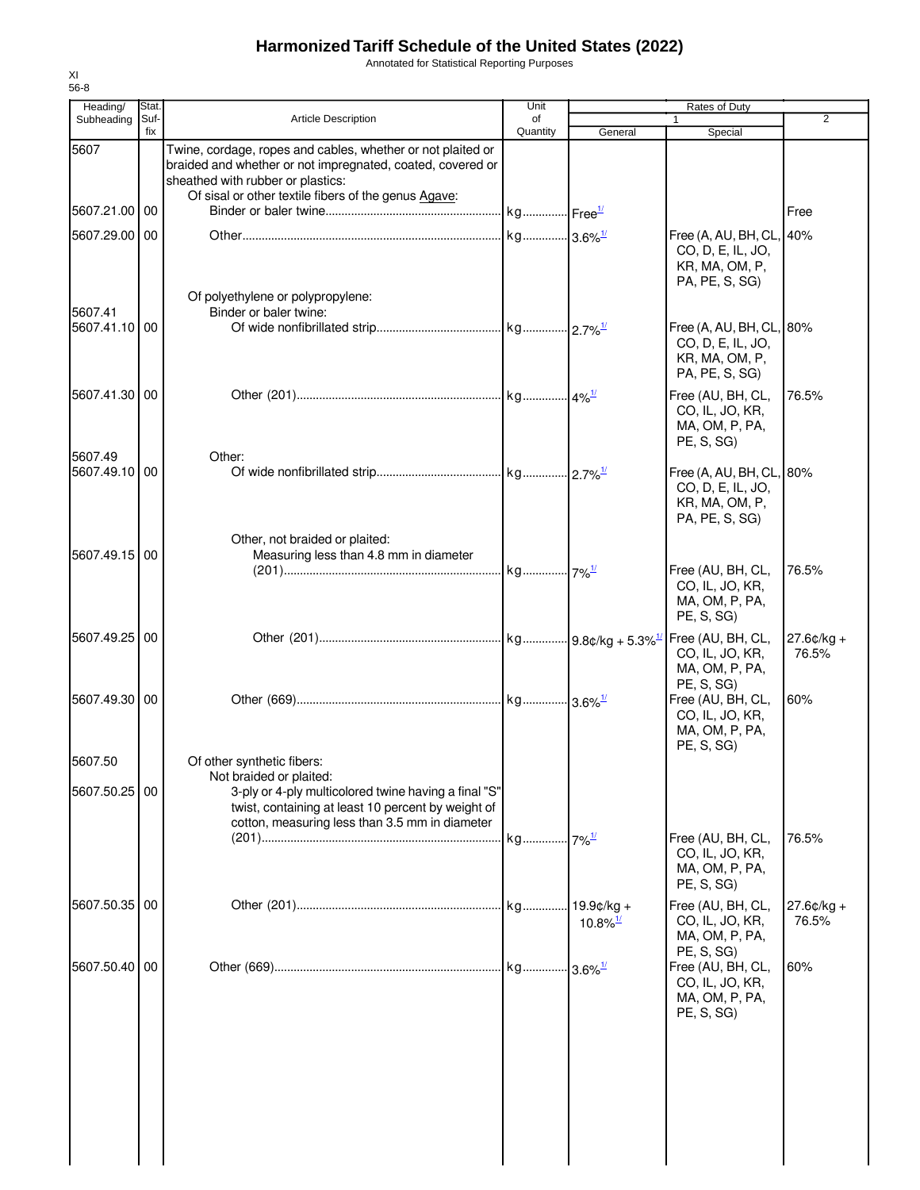Annotated for Statistical Reporting Purposes

| Heading/                 | Stat.       |                                                                                                                                                                                                                        | Unit           | Rates of Duty          |                                                                                   |                       |
|--------------------------|-------------|------------------------------------------------------------------------------------------------------------------------------------------------------------------------------------------------------------------------|----------------|------------------------|-----------------------------------------------------------------------------------|-----------------------|
| Subheading               | Suf-<br>fix | <b>Article Description</b>                                                                                                                                                                                             | of<br>Quantity | General                | 1<br>Special                                                                      | 2                     |
| 5607                     |             | Twine, cordage, ropes and cables, whether or not plaited or<br>braided and whether or not impregnated, coated, covered or<br>sheathed with rubber or plastics:<br>Of sisal or other textile fibers of the genus Agave: |                |                        |                                                                                   |                       |
| 5607.21.00 00            |             |                                                                                                                                                                                                                        |                |                        |                                                                                   | Free                  |
| 5607.29.00 00            |             |                                                                                                                                                                                                                        |                |                        | Free (A, AU, BH, CL,<br>CO, D, E, IL, JO,<br>KR, MA, OM, P,<br>PA, PE, S, SG)     | 40%                   |
| 5607.41                  |             | Of polyethylene or polypropylene:<br>Binder or baler twine:                                                                                                                                                            |                |                        |                                                                                   |                       |
| 5607.41.10 00            |             |                                                                                                                                                                                                                        |                |                        | Free (A, AU, BH, CL, 80%<br>CO, D, E, IL, JO,<br>KR, MA, OM, P,<br>PA, PE, S, SG) |                       |
| 5607.41.30 00            |             |                                                                                                                                                                                                                        |                |                        | Free (AU, BH, CL,<br>CO, IL, JO, KR,<br>MA, OM, P, PA,<br>PE, S, SG)              | 76.5%                 |
| 5607.49<br>5607.49.10 00 |             | Other:                                                                                                                                                                                                                 |                |                        | Free (A, AU, BH, CL, 80%<br>CO, D, E, IL, JO,<br>KR, MA, OM, P,<br>PA, PE, S, SG) |                       |
| 5607.49.15 00            |             | Other, not braided or plaited:<br>Measuring less than 4.8 mm in diameter                                                                                                                                               |                |                        | Free (AU, BH, CL,<br>CO, IL, JO, KR,                                              | 76.5%                 |
|                          |             |                                                                                                                                                                                                                        |                |                        | MA, OM, P, PA,<br>PE, S, SG)                                                      |                       |
| 5607.49.25 00            |             |                                                                                                                                                                                                                        |                |                        | Free (AU, BH, CL,<br>CO, IL, JO, KR,<br>MA, OM, P, PA,<br>PE, S, SG               | $27.6¢/kg +$<br>76.5% |
| 5607.49.30 00            |             |                                                                                                                                                                                                                        |                |                        | Free (AU, BH, CL,<br>CO, IL, JO, KR,<br>MA, OM, P, PA,<br>PE, S, SG)              | 60%                   |
| 5607.50                  |             | Of other synthetic fibers:<br>Not braided or plaited:                                                                                                                                                                  |                |                        |                                                                                   |                       |
| 5607.50.25 00            |             | 3-ply or 4-ply multicolored twine having a final "S"<br>twist, containing at least 10 percent by weight of<br>cotton, measuring less than 3.5 mm in diameter                                                           |                |                        |                                                                                   |                       |
|                          |             |                                                                                                                                                                                                                        |                | $7\%$ <sup>1/</sup>    | Free (AU, BH, CL,<br>CO, IL, JO, KR,<br>MA, OM, P, PA,<br>PE, S, SG               | 76.5%                 |
| 5607.50.35 00            |             |                                                                                                                                                                                                                        |                | $10.8\%$ <sup>1/</sup> | Free (AU, BH, CL,<br>CO, IL, JO, KR,<br>MA, OM, P, PA,<br>PE, S, SG)              | $27.6¢/kg +$<br>76.5% |
| 5607.50.40 00            |             |                                                                                                                                                                                                                        |                |                        | Free (AU, BH, CL,<br>CO, IL, JO, KR,<br>MA, OM, P, PA,<br>PE, S, SG)              | 60%                   |
|                          |             |                                                                                                                                                                                                                        |                |                        |                                                                                   |                       |
|                          |             |                                                                                                                                                                                                                        |                |                        |                                                                                   |                       |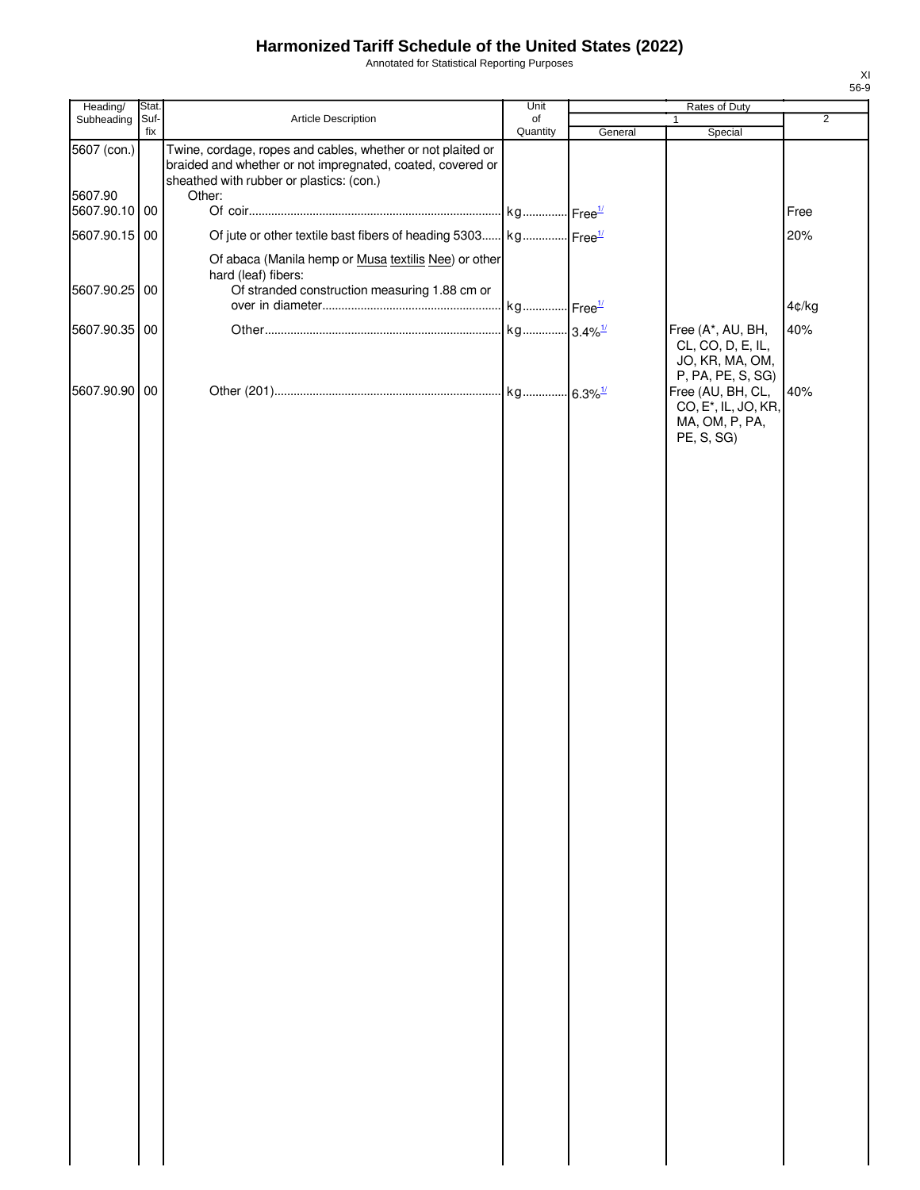Annotated for Statistical Reporting Purposes

| Heading/               | Stat.       |                                                                                                                                                                                 | Unit           |         | Rates of Duty                                                                         |                |
|------------------------|-------------|---------------------------------------------------------------------------------------------------------------------------------------------------------------------------------|----------------|---------|---------------------------------------------------------------------------------------|----------------|
| Subheading             | Suf-<br>fix | Article Description                                                                                                                                                             | of<br>Quantity | General | $\mathbf{1}$<br>Special                                                               | $\overline{2}$ |
| 5607 (con.)<br>5607.90 |             | Twine, cordage, ropes and cables, whether or not plaited or<br>braided and whether or not impregnated, coated, covered or<br>sheathed with rubber or plastics: (con.)<br>Other: |                |         |                                                                                       |                |
| 5607.90.10 00          |             |                                                                                                                                                                                 |                |         |                                                                                       | Free           |
| 5607.90.15 00          |             | Of jute or other textile bast fibers of heading 5303 kg Free <sup>1/</sup>                                                                                                      |                |         |                                                                                       | 20%            |
|                        |             | Of abaca (Manila hemp or Musa textilis Nee) or other<br>hard (leaf) fibers:                                                                                                     |                |         |                                                                                       |                |
| 5607.90.25 00          |             | Of stranded construction measuring 1.88 cm or                                                                                                                                   |                |         |                                                                                       | 4¢/kg          |
| 5607.90.35 00          |             |                                                                                                                                                                                 |                |         | Free (A*, AU, BH,                                                                     | 40%            |
|                        |             |                                                                                                                                                                                 |                |         | CL, CO, D, E, IL,<br>JO, KR, MA, OM,<br>P, PA, PE, S, SG)                             |                |
| 5607.90.90 00          |             |                                                                                                                                                                                 |                |         | Free (AU, BH, CL,<br>CO, E <sup>*</sup> , IL, JO, KR,<br>MA, OM, P, PA,<br>PE, S, SG) | 40%            |
|                        |             |                                                                                                                                                                                 |                |         |                                                                                       |                |
|                        |             |                                                                                                                                                                                 |                |         |                                                                                       |                |
|                        |             |                                                                                                                                                                                 |                |         |                                                                                       |                |
|                        |             |                                                                                                                                                                                 |                |         |                                                                                       |                |
|                        |             |                                                                                                                                                                                 |                |         |                                                                                       |                |
|                        |             |                                                                                                                                                                                 |                |         |                                                                                       |                |
|                        |             |                                                                                                                                                                                 |                |         |                                                                                       |                |
|                        |             |                                                                                                                                                                                 |                |         |                                                                                       |                |
|                        |             |                                                                                                                                                                                 |                |         |                                                                                       |                |
|                        |             |                                                                                                                                                                                 |                |         |                                                                                       |                |
|                        |             |                                                                                                                                                                                 |                |         |                                                                                       |                |
|                        |             |                                                                                                                                                                                 |                |         |                                                                                       |                |
|                        |             |                                                                                                                                                                                 |                |         |                                                                                       |                |
|                        |             |                                                                                                                                                                                 |                |         |                                                                                       |                |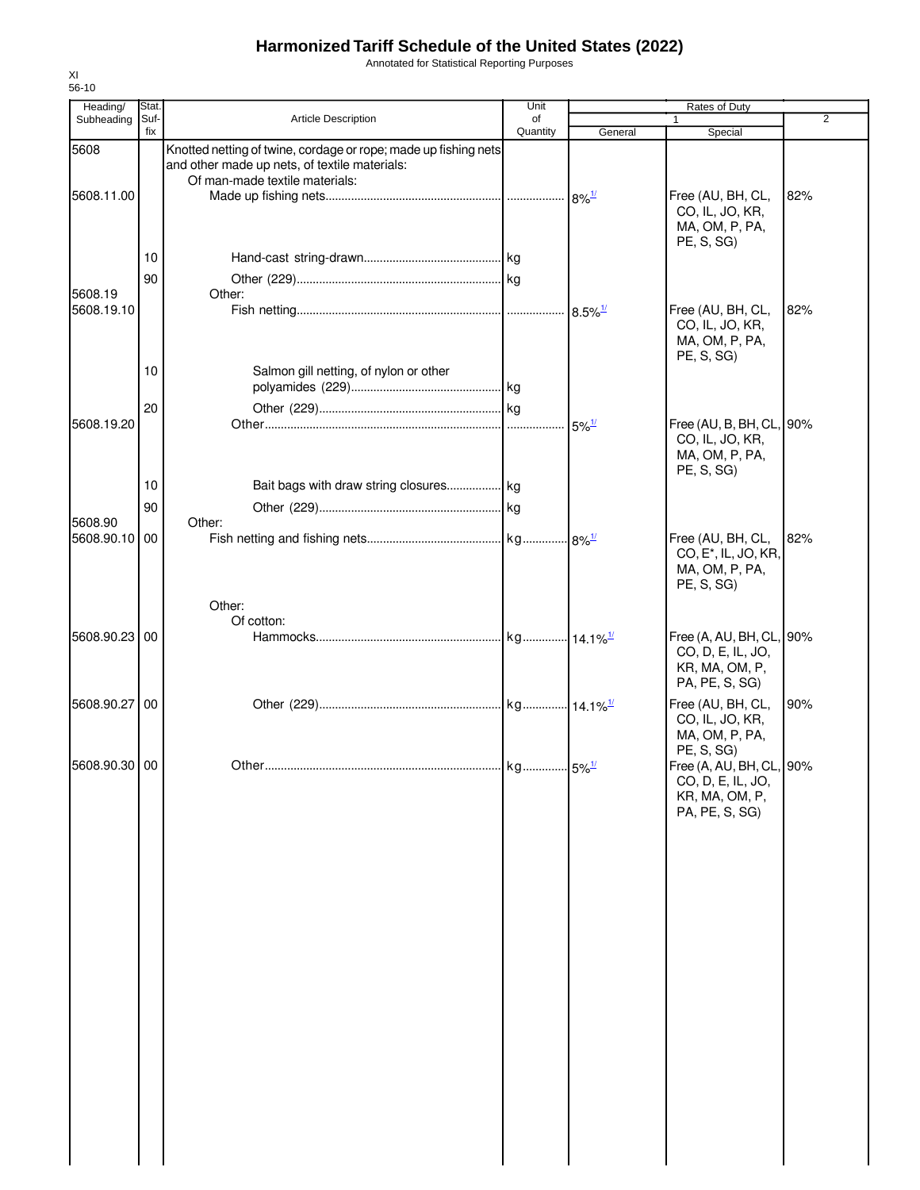Annotated for Statistical Reporting Purposes

| Heading/      | Stat.       |                                                                                                                                                    | Unit           | Rates of Duty                    |                                                                                                 |                |  |
|---------------|-------------|----------------------------------------------------------------------------------------------------------------------------------------------------|----------------|----------------------------------|-------------------------------------------------------------------------------------------------|----------------|--|
| Subheading    | Suf-<br>fix | Article Description                                                                                                                                | of<br>Quantity | General                          | 1<br>Special                                                                                    | $\overline{2}$ |  |
| 5608          |             | Knotted netting of twine, cordage or rope; made up fishing nets<br>and other made up nets, of textile materials:<br>Of man-made textile materials: |                |                                  |                                                                                                 |                |  |
| 5608.11.00    |             |                                                                                                                                                    |                |                                  | Free (AU, BH, CL,<br>CO, IL, JO, KR,<br>MA, OM, P, PA,<br>PE, S, SG)                            | 82%            |  |
|               | 10          |                                                                                                                                                    |                |                                  |                                                                                                 |                |  |
| 5608.19       | 90          | Other:                                                                                                                                             |                |                                  |                                                                                                 |                |  |
| 5608.19.10    |             |                                                                                                                                                    |                | $8.5\%$ <sup>1/</sup>            | Free (AU, BH, CL,<br>CO, IL, JO, KR,<br>MA, OM, P, PA,<br>PE, S, SG                             | 82%            |  |
|               | 10          | Salmon gill netting, of nylon or other                                                                                                             |                |                                  |                                                                                                 |                |  |
|               | 20          |                                                                                                                                                    |                |                                  |                                                                                                 |                |  |
| 5608.19.20    |             |                                                                                                                                                    |                | $5\%$ <sup><math>1/</math></sup> | Free (AU, B, BH, CL, 90%<br>CO, IL, JO, KR,<br>MA, OM, P, PA,<br>PE, S, SG)                     |                |  |
|               | 10          | Bait bags with draw string closures kg                                                                                                             |                |                                  |                                                                                                 |                |  |
| 5608.90       | 90          | Other:                                                                                                                                             |                |                                  |                                                                                                 |                |  |
| 5608.90.10 00 |             |                                                                                                                                                    |                |                                  | Free (AU, BH, CL,<br>CO, E <sup>*</sup> , IL, JO, KR,<br>MA, OM, P, PA,<br>PE, S, SG)           | 82%            |  |
|               |             | Other:                                                                                                                                             |                |                                  |                                                                                                 |                |  |
| 5608.90.23 00 |             | Of cotton:                                                                                                                                         |                |                                  | Free (A, AU, BH, CL, 90%<br>CO, D, E, IL, JO,<br>KR, MA, OM, P,<br>PA, PE, S, SG)               |                |  |
| 5608.90.27    | 00          |                                                                                                                                                    |                |                                  | Free (AU, BH, CL,<br>CO, IL, JO, KR,<br>MA, OM, P, PA,                                          | 90%            |  |
| 5608.90.30 00 |             |                                                                                                                                                    |                |                                  | PE, S, SG)<br>Free (A, AU, BH, CL, 90%<br>CO, D, E, IL, JO,<br>KR, MA, OM, P,<br>PA, PE, S, SG) |                |  |
|               |             |                                                                                                                                                    |                |                                  |                                                                                                 |                |  |
|               |             |                                                                                                                                                    |                |                                  |                                                                                                 |                |  |
|               |             |                                                                                                                                                    |                |                                  |                                                                                                 |                |  |
|               |             |                                                                                                                                                    |                |                                  |                                                                                                 |                |  |
|               |             |                                                                                                                                                    |                |                                  |                                                                                                 |                |  |
|               |             |                                                                                                                                                    |                |                                  |                                                                                                 |                |  |
|               |             |                                                                                                                                                    |                |                                  |                                                                                                 |                |  |
|               |             |                                                                                                                                                    |                |                                  |                                                                                                 |                |  |
|               |             |                                                                                                                                                    |                |                                  |                                                                                                 |                |  |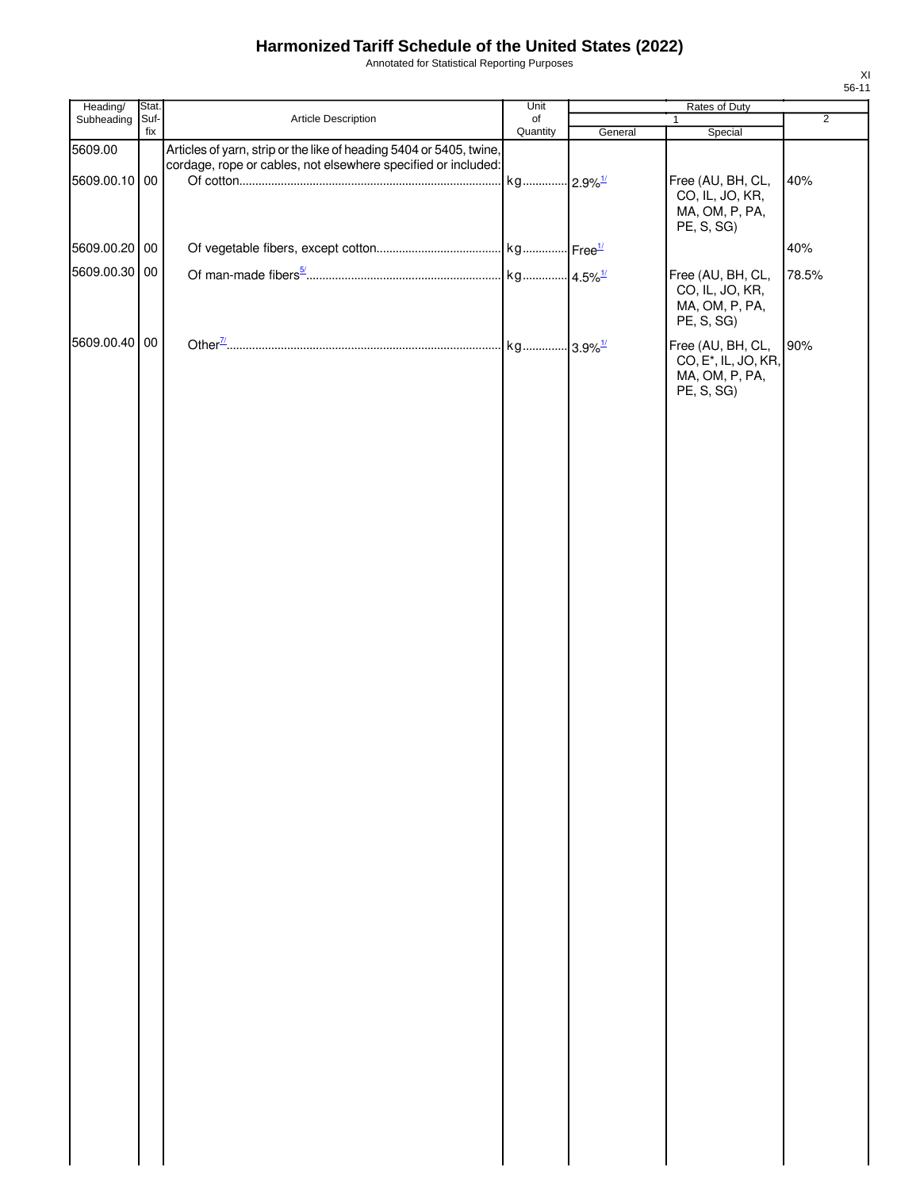Annotated for Statistical Reporting Purposes

| Heading/                 | Stat. |                                                                                                                                      | Unit                  | Rates of Duty |                                                                                       |                |  |
|--------------------------|-------|--------------------------------------------------------------------------------------------------------------------------------------|-----------------------|---------------|---------------------------------------------------------------------------------------|----------------|--|
| Subheading Suf-          | fix   | Article Description                                                                                                                  | of<br>Quantity        | General       | $\mathbf{1}$<br>Special                                                               | $\overline{2}$ |  |
| 5609.00<br>5609.00.10 00 |       | Articles of yarn, strip or the like of heading 5404 or 5405, twine,<br>cordage, rope or cables, not elsewhere specified or included: | kg 2.9% <sup>1/</sup> |               | Free (AU, BH, CL,<br>CO, IL, JO, KR,<br>MA, OM, P, PA,<br>PE, S, SG)                  | 40%            |  |
| 5609.00.20 00            |       |                                                                                                                                      |                       |               |                                                                                       | 40%            |  |
| 5609.00.30 00            |       |                                                                                                                                      |                       |               |                                                                                       |                |  |
|                          |       |                                                                                                                                      |                       |               | Free (AU, BH, CL,<br>CO, IL, JO, KR,<br>MA, OM, P, PA,<br>PE, S, SG)                  | 78.5%          |  |
| 5609.00.40 00            |       |                                                                                                                                      |                       |               | Free (AU, BH, CL,<br>CO, E <sup>*</sup> , IL, JO, KR,<br>MA, OM, P, PA,<br>PE, S, SG) | 90%            |  |
|                          |       |                                                                                                                                      |                       |               |                                                                                       |                |  |